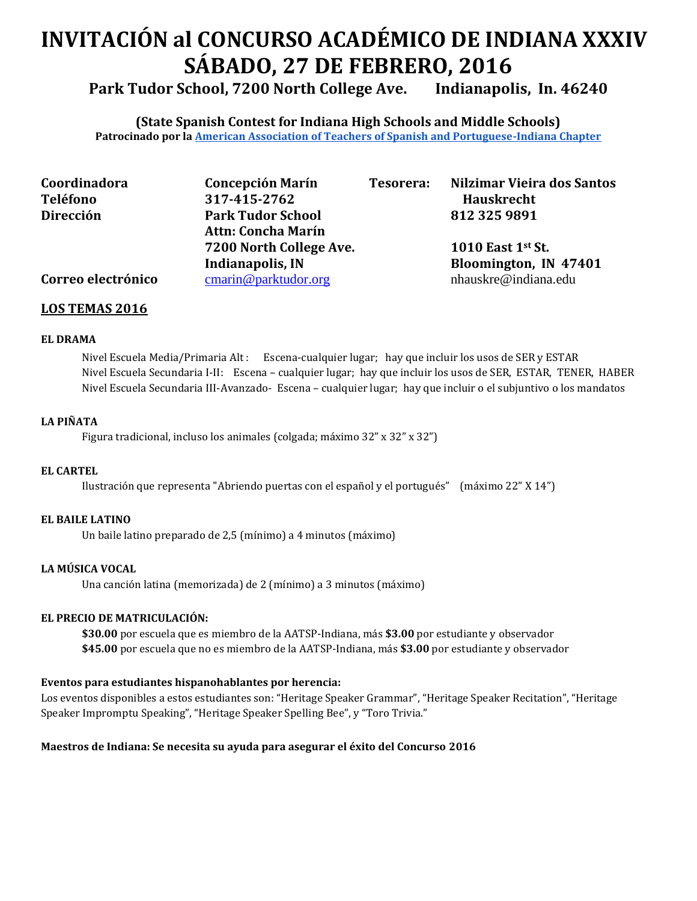# **INVITACIÓN al CONCURSO ACADÉMICO DE INDIANA XXXIV SÁBADO, 27 DE FEBRERO, 2016**

**Park Tudor School, 7200 North College Ave. Indianapolis, In. 46240**

**(State Spanish Contest for Indiana High Schools and Middle Schools) Patrocinado por l[a American Association of Teachers of Spanish and Portuguese-Indiana Chapter](http://www.iaatsp.org/)**

| Coordinadora       | <b>Concepción Marín</b>   | Tesorera: | Nilzimar Vieira dos Santos |
|--------------------|---------------------------|-----------|----------------------------|
| <b>Teléfono</b>    | 317-415-2762              |           | <b>Hauskrecht</b>          |
| Dirección          | <b>Park Tudor School</b>  |           | 812 325 9891               |
|                    | <b>Attn: Concha Marín</b> |           |                            |
|                    | 7200 North College Ave.   |           | 1010 East 1st St.          |
|                    | Indianapolis, IN          |           | Bloomington, IN 47401      |
| Correo electrónico | cmarin@parktudor.org      |           | nhauskre@indiana.edu       |

### **LOS TEMAS 2016**

### **EL DRAMA**

Nivel Escuela Media/Primaria Alt : Escena-cualquier lugar; hay que incluir los usos de SER y ESTAR Nivel Escuela Secundaria I-II: Escena – cualquier lugar; hay que incluir los usos de SER, ESTAR, TENER, HABER Nivel Escuela Secundaria III-Avanzado- Escena – cualquier lugar; hay que incluir o el subjuntivo o los mandatos

### **LA PIÑATA**

Figura tradicional, incluso los animales (colgada; máximo 32" x 32" x 32")

#### **EL CARTEL**

Ilustración que representa "Abriendo puertas con el español y el portugués" (máximo 22" X 14")

#### **EL BAILE LATINO**

Un baile latino preparado de 2,5 (mínimo) a 4 minutos (máximo)

### **LA MÚSICA VOCAL**

Una canción latina (memorizada) de 2 (mínimo) a 3 minutos (máximo)

### **EL PRECIO DE MATRICULACIÓN:**

**\$30.00** por escuela que es miembro de la AATSP-Indiana, más **\$3.00** por estudiante y observador **\$45.00** por escuela que no es miembro de la AATSP-Indiana, más **\$3.00** por estudiante y observador

### **Eventos para estudiantes hispanohablantes por herencia:**

Los eventos disponibles a estos estudiantes son: "Heritage Speaker Grammar", "Heritage Speaker Recitation", "Heritage Speaker Impromptu Speaking", "Heritage Speaker Spelling Bee", y "Toro Trivia."

### **Maestros de Indiana: Se necesita su ayuda para asegurar el éxito del Concurso 2016**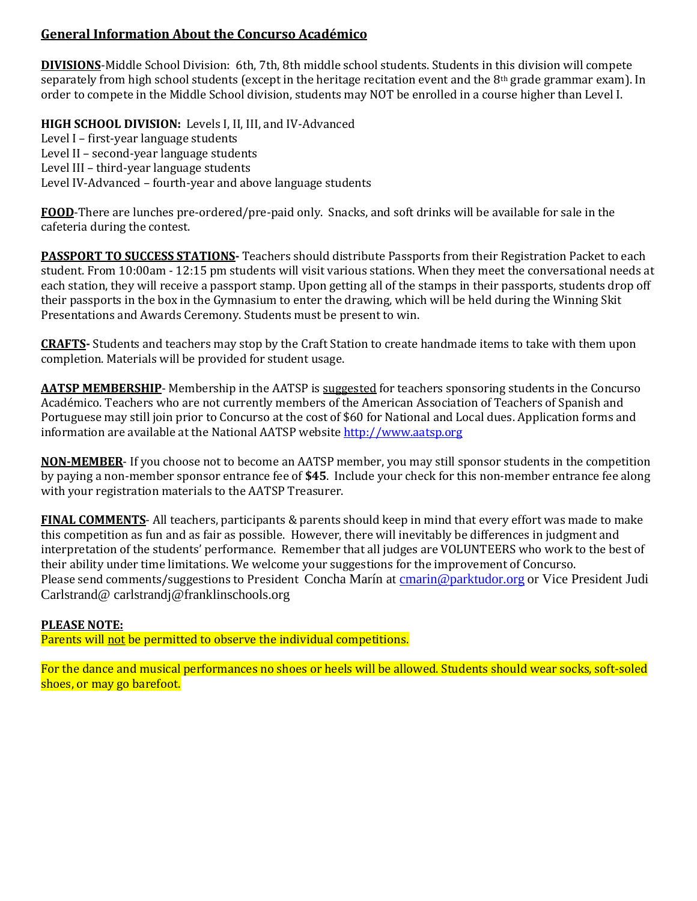# **General Information About the Concurso Académico**

**DIVISIONS**-Middle School Division: 6th, 7th, 8th middle school students. Students in this division will compete separately from high school students (except in the heritage recitation event and the 8<sup>th</sup> grade grammar exam). In order to compete in the Middle School division, students may NOT be enrolled in a course higher than Level I.

# **HIGH SCHOOL DIVISION:** Levels I, II, III, and IV-Advanced

Level I – first-year language students Level II – second-year language students Level III – third-year language students Level IV-Advanced – fourth-year and above language students

**FOOD**-There are lunches pre-ordered/pre-paid only. Snacks, and soft drinks will be available for sale in the cafeteria during the contest.

**PASSPORT TO SUCCESS STATIONS-** Teachers should distribute Passports from their Registration Packet to each student. From 10:00am - 12:15 pm students will visit various stations. When they meet the conversational needs at each station, they will receive a passport stamp. Upon getting all of the stamps in their passports, students drop off their passports in the box in the Gymnasium to enter the drawing, which will be held during the Winning Skit Presentations and Awards Ceremony. Students must be present to win.

**CRAFTS-** Students and teachers may stop by the Craft Station to create handmade items to take with them upon completion. Materials will be provided for student usage.

AATSP MEMBERSHIP- Membership in the AATSP is suggested for teachers sponsoring students in the Concurso Académico. Teachers who are not currently members of the American Association of Teachers of Spanish and Portuguese may still join prior to Concurso at the cost of \$60 for National and Local dues. Application forms and information are available at the National AATSP website [http://www.aatsp.org](http://www.aatsp.org/)

**NON-MEMBER**- If you choose not to become an AATSP member, you may still sponsor students in the competition by paying a non-member sponsor entrance fee of **\$45**. Include your check for this non-member entrance fee along with your registration materials to the AATSP Treasurer.

**FINAL COMMENTS**- All teachers, participants & parents should keep in mind that every effort was made to make this competition as fun and as fair as possible. However, there will inevitably be differences in judgment and interpretation of the students' performance. Remember that all judges are VOLUNTEERS who work to the best of their ability under time limitations. We welcome your suggestions for the improvement of Concurso. Please send comments/suggestions to President Concha Marín at [cmarin@parktudor.org](mailto:cmarin@parktudor.org) or Vice President Judi Carlstrand@ carlstrandj@franklinschools.org

### **PLEASE NOTE:**

Parents will not be permitted to observe the individual competitions.

For the dance and musical performances no shoes or heels will be allowed. Students should wear socks, soft-soled shoes, or may go barefoot.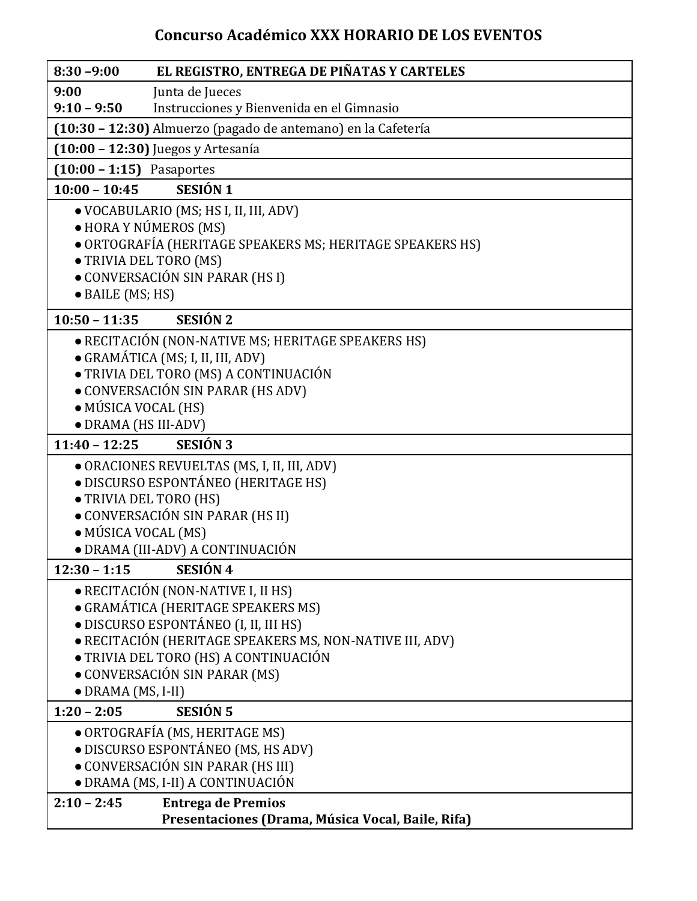# **Concurso Académico XXX HORARIO DE LOS EVENTOS**

| EL REGISTRO, ENTREGA DE PIÑATAS Y CARTELES<br>$8:30 - 9:00$                                       |
|---------------------------------------------------------------------------------------------------|
| Junta de Jueces<br>9:00                                                                           |
| $9:10 - 9:50$<br>Instrucciones y Bienvenida en el Gimnasio                                        |
| (10:30 - 12:30) Almuerzo (pagado de antemano) en la Cafetería                                     |
| (10:00 - 12:30) Juegos y Artesanía                                                                |
| $(10:00 - 1:15)$ Pasaportes                                                                       |
| <b>SESIÓN 1</b><br>$10:00 - 10:45$                                                                |
| · VOCABULARIO (MS; HS I, II, III, ADV)                                                            |
| · HORA Y NÚMEROS (MS)                                                                             |
| · ORTOGRAFÍA (HERITAGE SPEAKERS MS; HERITAGE SPEAKERS HS)                                         |
| · TRIVIA DEL TORO (MS)                                                                            |
| • CONVERSACIÓN SIN PARAR (HS I)                                                                   |
| · BAILE (MS; HS)                                                                                  |
| <b>SESIÓN 2</b><br>$10:50 - 11:35$                                                                |
| · RECITACIÓN (NON-NATIVE MS; HERITAGE SPEAKERS HS)                                                |
| · GRAMÁTICA (MS; I, II, III, ADV)                                                                 |
| · TRIVIA DEL TORO (MS) A CONTINUACIÓN                                                             |
| • CONVERSACIÓN SIN PARAR (HS ADV)                                                                 |
| • MÚSICA VOCAL (HS)                                                                               |
| • DRAMA (HS III-ADV)                                                                              |
| <b>SESIÓN 3</b><br>$11:40 - 12:25$                                                                |
| · ORACIONES REVUELTAS (MS, I, II, III, ADV)                                                       |
| · DISCURSO ESPONTÁNEO (HERITAGE HS)                                                               |
| • TRIVIA DEL TORO (HS)                                                                            |
| · CONVERSACIÓN SIN PARAR (HS II)                                                                  |
| • MÚSICA VOCAL (MS)                                                                               |
| · DRAMA (III-ADV) A CONTINUACIÓN                                                                  |
| SESIÓN 4<br>$12:30 - 1:15$                                                                        |
| • RECITACIÓN (NON-NATIVE I, II HS)                                                                |
| • GRAMÁTICA (HERITAGE SPEAKERS MS)                                                                |
| · DISCURSO ESPONTÁNEO (I, II, III HS)<br>· RECITACIÓN (HERITAGE SPEAKERS MS, NON-NATIVE III, ADV) |
| • TRIVIA DEL TORO (HS) A CONTINUACIÓN                                                             |
| • CONVERSACIÓN SIN PARAR (MS)                                                                     |
| $\bullet$ DRAMA (MS, I-II)                                                                        |
| <b>SESIÓN 5</b><br>$1:20 - 2:05$                                                                  |
| • ORTOGRAFÍA (MS, HERITAGE MS)                                                                    |
| · DISCURSO ESPONTÁNEO (MS, HS ADV)                                                                |
| • CONVERSACIÓN SIN PARAR (HS III)                                                                 |
| · DRAMA (MS, I-II) A CONTINUACIÓN                                                                 |
| $2:10 - 2:45$<br><b>Entrega de Premios</b>                                                        |
| Presentaciones (Drama, Música Vocal, Baile, Rifa)                                                 |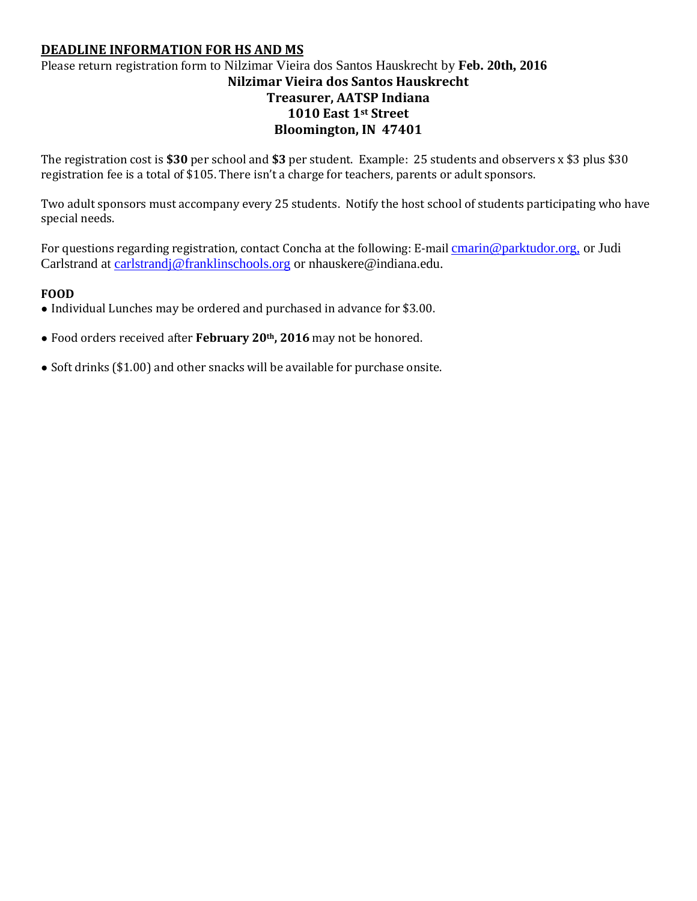# **DEADLINE INFORMATION FOR HS AND MS**

# Please return registration form to Nilzimar Vieira dos Santos Hauskrecht by **Feb. 20th, 2016 Nilzimar Vieira dos Santos Hauskrecht Treasurer, AATSP Indiana 1010 East 1st Street Bloomington, IN 47401**

The registration cost is **\$30** per school and **\$3** per student. Example: 25 students and observers x \$3 plus \$30 registration fee is a total of \$105. There isn't a charge for teachers, parents or adult sponsors.

Two adult sponsors must accompany every 25 students. Notify the host school of students participating who have special needs.

For questions regarding registration, contact Concha at the following: E-mail [cmarin@parktudor.org,](mailto:cmarin@parktudor.org) or Judi Carlstrand at [carlstrandj@franklinschools.org](mailto:carlstrandj@franklinschools.org) or nhauskere@indiana.edu.

### **FOOD**

- Individual Lunches may be ordered and purchased in advance for \$3.00.
- Food orders received after **February 20th, 2016** may not be honored.
- Soft drinks (\$1.00) and other snacks will be available for purchase onsite.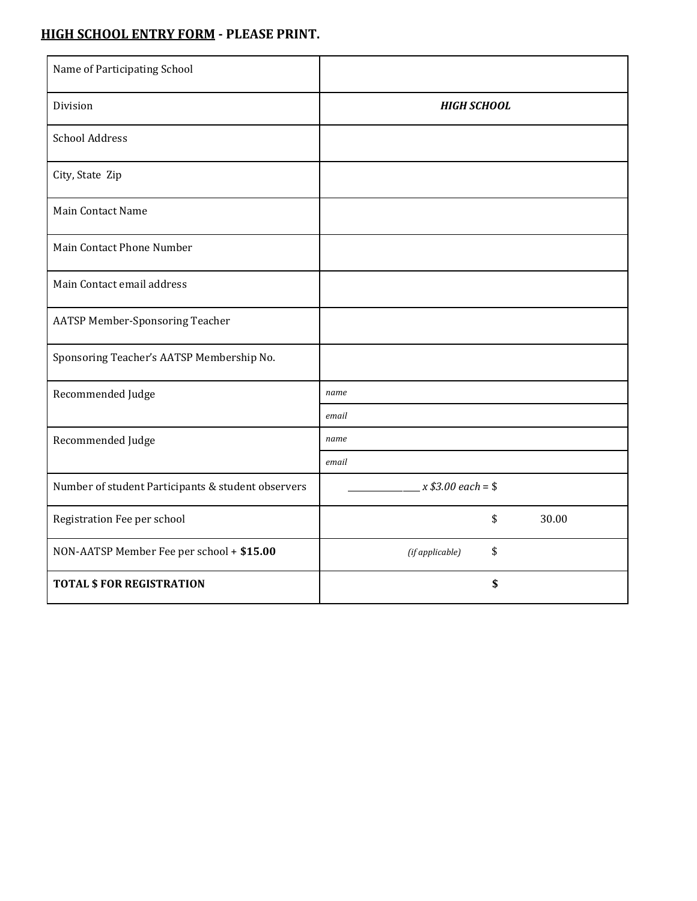# **HIGH SCHOOL ENTRY FORM - PLEASE PRINT.**

| Name of Participating School                       |                       |
|----------------------------------------------------|-----------------------|
| Division                                           | <b>HIGH SCHOOL</b>    |
| <b>School Address</b>                              |                       |
| City, State Zip                                    |                       |
| Main Contact Name                                  |                       |
| Main Contact Phone Number                          |                       |
| Main Contact email address                         |                       |
| <b>AATSP Member-Sponsoring Teacher</b>             |                       |
| Sponsoring Teacher's AATSP Membership No.          |                       |
| Recommended Judge                                  | name                  |
|                                                    | email                 |
| Recommended Judge                                  | name                  |
|                                                    | email                 |
| Number of student Participants & student observers | $x $3.00 each = $$    |
| Registration Fee per school                        | \$<br>30.00           |
| NON-AATSP Member Fee per school + \$15.00          | \$<br>(if applicable) |
| <b>TOTAL \$ FOR REGISTRATION</b>                   | \$                    |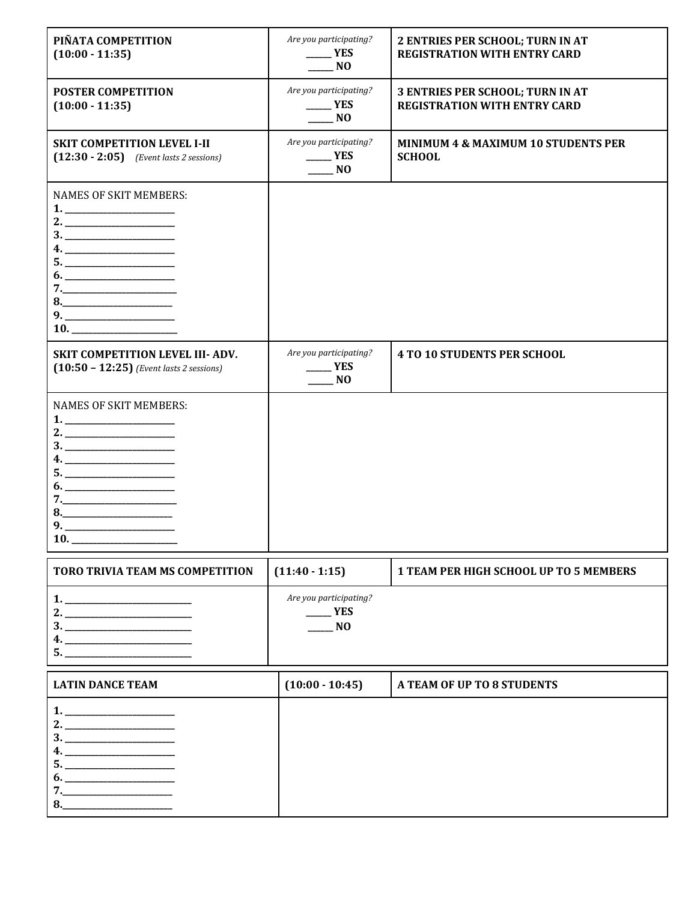| PIÑATA COMPETITION<br>$(10:00 - 11:35)$                                                                                                                                                                                                                                                                                                                                                                                                   | Are you participating?<br>$\mathbf{YES}$<br>N <sub>O</sub>           | 2 ENTRIES PER SCHOOL; TURN IN AT<br><b>REGISTRATION WITH ENTRY CARD</b> |
|-------------------------------------------------------------------------------------------------------------------------------------------------------------------------------------------------------------------------------------------------------------------------------------------------------------------------------------------------------------------------------------------------------------------------------------------|----------------------------------------------------------------------|-------------------------------------------------------------------------|
| <b>POSTER COMPETITION</b><br>$(10:00 - 11:35)$                                                                                                                                                                                                                                                                                                                                                                                            | Are you participating?<br>YES<br>N <sub>O</sub>                      | 3 ENTRIES PER SCHOOL; TURN IN AT<br><b>REGISTRATION WITH ENTRY CARD</b> |
| <b>SKIT COMPETITION LEVEL I-II</b><br>$(12:30 - 2:05)$ (Event lasts 2 sessions)                                                                                                                                                                                                                                                                                                                                                           | Are you participating?<br>$\rule{1em}{0.15mm}$ YES<br>N <sub>0</sub> | <b>MINIMUM 4 &amp; MAXIMUM 10 STUDENTS PER</b><br><b>SCHOOL</b>         |
| <b>NAMES OF SKIT MEMBERS:</b><br>2. $\qquad \qquad$                                                                                                                                                                                                                                                                                                                                                                                       |                                                                      |                                                                         |
| <b>SKIT COMPETITION LEVEL III- ADV.</b><br>$(10:50 - 12:25)$ (Event lasts 2 sessions)                                                                                                                                                                                                                                                                                                                                                     | Are you participating?<br>_ YES<br>N <sub>O</sub>                    | <b>4 TO 10 STUDENTS PER SCHOOL</b>                                      |
| <b>NAMES OF SKIT MEMBERS:</b><br>$\begin{array}{c}\n3.\n\end{array}$<br>4. __________________________<br>9.<br>10.                                                                                                                                                                                                                                                                                                                        |                                                                      |                                                                         |
| <b>TORO TRIVIA TEAM MS COMPETITION</b>                                                                                                                                                                                                                                                                                                                                                                                                    | $(11:40 - 1:15)$                                                     | <b>1 TEAM PER HIGH SCHOOL UP TO 5 MEMBERS</b>                           |
| $\begin{tabular}{ c c c } \hline $1$. & \begin{tabular}{ c c c c } \hline $1$. & \multicolumn{3}{ c }{\textbf{1}} & \multicolumn{3}{ c }{\textbf{1}} & \multicolumn{3}{ c }{\textbf{1}} & \multicolumn{3}{ c }{\textbf{1}} & \multicolumn{3}{ c }{\textbf{1}} & \multicolumn{3}{ c }{\textbf{1}} & \multicolumn{3}{ c }{\textbf{1}} & \multicolumn{3}{ c }{\textbf{1}} & \multicolumn{3}{ c }{\textbf{1}} & \multicolumn{3}{ c }{\textbf$ | Are you participating?<br>$\mathbf{F}$<br>$\blacksquare$ NO          |                                                                         |
| <b>LATIN DANCE TEAM</b>                                                                                                                                                                                                                                                                                                                                                                                                                   | $(10:00 - 10:45)$                                                    | A TEAM OF UP TO 8 STUDENTS                                              |
|                                                                                                                                                                                                                                                                                                                                                                                                                                           |                                                                      |                                                                         |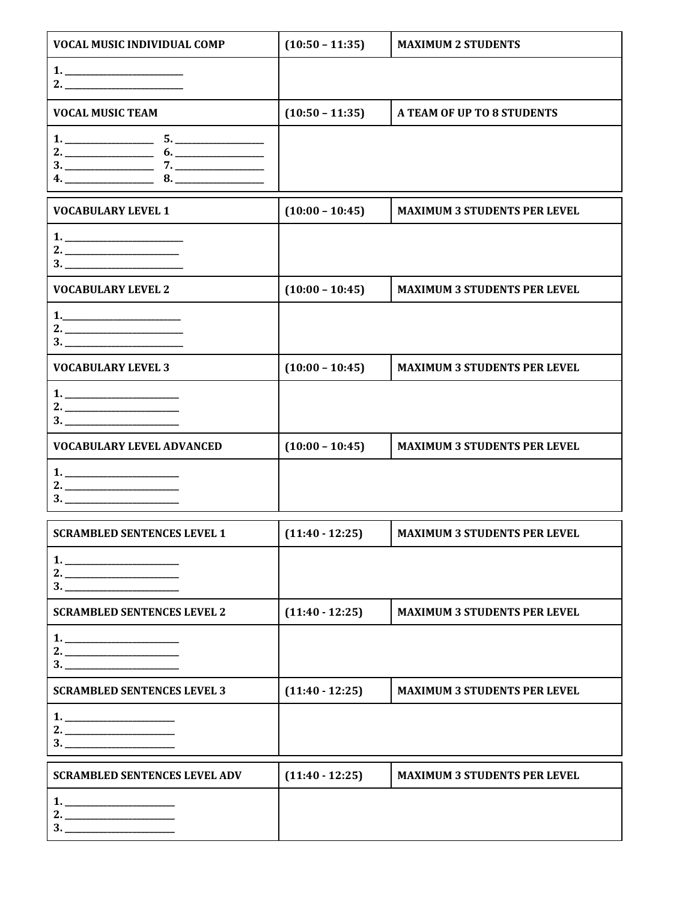| <b>VOCAL MUSIC INDIVIDUAL COMP</b>                                                                                                                                                                                                                                                                                                               | $(10:50 - 11:35)$ | <b>MAXIMUM 2 STUDENTS</b>           |
|--------------------------------------------------------------------------------------------------------------------------------------------------------------------------------------------------------------------------------------------------------------------------------------------------------------------------------------------------|-------------------|-------------------------------------|
|                                                                                                                                                                                                                                                                                                                                                  |                   |                                     |
| <b>VOCAL MUSIC TEAM</b>                                                                                                                                                                                                                                                                                                                          | $(10:50 - 11:35)$ | A TEAM OF UP TO 8 STUDENTS          |
| $5. \underline{\hspace{2cm}}$<br>$6. \underline{\hspace{1.5cm}}$<br>8.<br><b>4.</b> The contract of the contract of the contract of the contract of the contract of the contract of the contract of the contract of the contract of the contract of the contract of the contract of the contract of the contr                                    |                   |                                     |
| <b>VOCABULARY LEVEL 1</b>                                                                                                                                                                                                                                                                                                                        | $(10:00 - 10:45)$ | <b>MAXIMUM 3 STUDENTS PER LEVEL</b> |
|                                                                                                                                                                                                                                                                                                                                                  |                   |                                     |
| <b>VOCABULARY LEVEL 2</b>                                                                                                                                                                                                                                                                                                                        | $(10:00 - 10:45)$ | <b>MAXIMUM 3 STUDENTS PER LEVEL</b> |
| $1.$ $\qquad \qquad$ $\qquad \qquad$ $\qquad$ $\qquad$ $\qquad \qquad$ $\qquad$ $\qquad$ $\qquad$ $\qquad$ $\qquad$ $\qquad$ $\qquad$ $\qquad$ $\qquad$ $\qquad$ $\qquad$ $\qquad$ $\qquad$ $\qquad$ $\qquad$ $\qquad$ $\qquad$ $\qquad$ $\qquad$ $\qquad$ $\qquad$ $\qquad$ $\qquad$ $\qquad$ $\qquad$ $\qquad$ $\qquad$ $\qquad$ $\qquad$ $\q$ |                   |                                     |
| <b>VOCABULARY LEVEL 3</b>                                                                                                                                                                                                                                                                                                                        | $(10:00 - 10:45)$ | <b>MAXIMUM 3 STUDENTS PER LEVEL</b> |
|                                                                                                                                                                                                                                                                                                                                                  |                   |                                     |
| <b>VOCABULARY LEVEL ADVANCED</b>                                                                                                                                                                                                                                                                                                                 | $(10:00 - 10:45)$ | <b>MAXIMUM 3 STUDENTS PER LEVEL</b> |
|                                                                                                                                                                                                                                                                                                                                                  |                   |                                     |
| <b>SCRAMBLED SENTENCES LEVEL 1</b>                                                                                                                                                                                                                                                                                                               | $(11:40 - 12:25)$ | <b>MAXIMUM 3 STUDENTS PER LEVEL</b> |
|                                                                                                                                                                                                                                                                                                                                                  |                   |                                     |
| <b>SCRAMBLED SENTENCES LEVEL 2</b>                                                                                                                                                                                                                                                                                                               | $(11:40 - 12:25)$ | <b>MAXIMUM 3 STUDENTS PER LEVEL</b> |
|                                                                                                                                                                                                                                                                                                                                                  |                   |                                     |
| <b>SCRAMBLED SENTENCES LEVEL 3</b>                                                                                                                                                                                                                                                                                                               | $(11:40 - 12:25)$ | <b>MAXIMUM 3 STUDENTS PER LEVEL</b> |
|                                                                                                                                                                                                                                                                                                                                                  |                   |                                     |
| <b>SCRAMBLED SENTENCES LEVEL ADV</b>                                                                                                                                                                                                                                                                                                             | $(11:40 - 12:25)$ | <b>MAXIMUM 3 STUDENTS PER LEVEL</b> |
| 3.                                                                                                                                                                                                                                                                                                                                               |                   |                                     |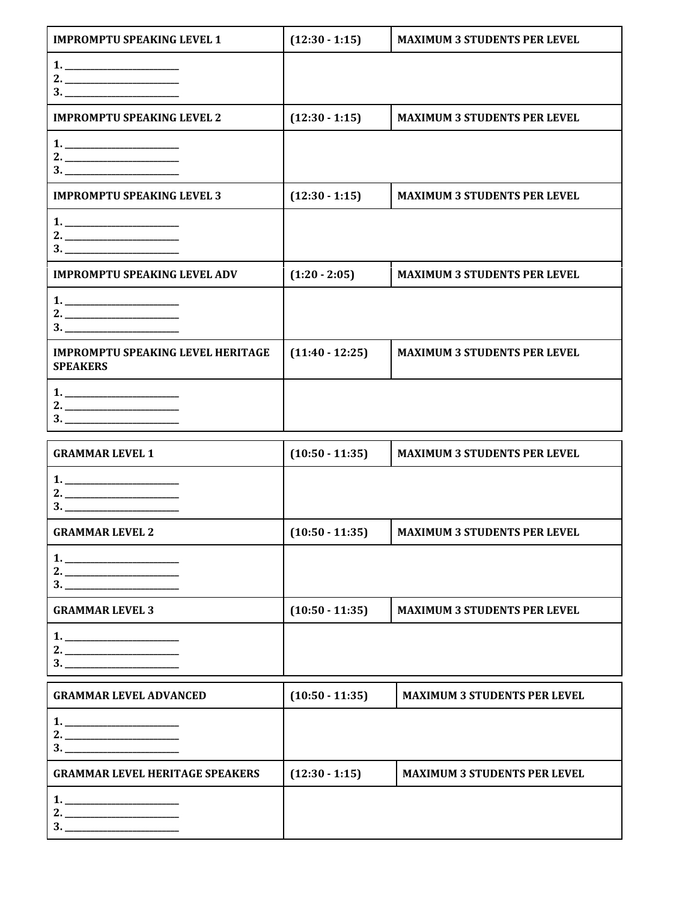| <b>IMPROMPTU SPEAKING LEVEL 1</b>                                                                                                                                                                                                                                                                                                                                                                                                                                                                                                                    | $(12:30 - 1:15)$  | <b>MAXIMUM 3 STUDENTS PER LEVEL</b> |
|------------------------------------------------------------------------------------------------------------------------------------------------------------------------------------------------------------------------------------------------------------------------------------------------------------------------------------------------------------------------------------------------------------------------------------------------------------------------------------------------------------------------------------------------------|-------------------|-------------------------------------|
|                                                                                                                                                                                                                                                                                                                                                                                                                                                                                                                                                      |                   |                                     |
| <b>IMPROMPTU SPEAKING LEVEL 2</b>                                                                                                                                                                                                                                                                                                                                                                                                                                                                                                                    | $(12:30 - 1:15)$  | <b>MAXIMUM 3 STUDENTS PER LEVEL</b> |
|                                                                                                                                                                                                                                                                                                                                                                                                                                                                                                                                                      |                   |                                     |
| <b>IMPROMPTU SPEAKING LEVEL 3</b>                                                                                                                                                                                                                                                                                                                                                                                                                                                                                                                    | $(12:30 - 1:15)$  | <b>MAXIMUM 3 STUDENTS PER LEVEL</b> |
|                                                                                                                                                                                                                                                                                                                                                                                                                                                                                                                                                      |                   |                                     |
| <b>IMPROMPTU SPEAKING LEVEL ADV</b>                                                                                                                                                                                                                                                                                                                                                                                                                                                                                                                  | $(1:20 - 2:05)$   | <b>MAXIMUM 3 STUDENTS PER LEVEL</b> |
|                                                                                                                                                                                                                                                                                                                                                                                                                                                                                                                                                      |                   |                                     |
| <b>IMPROMPTU SPEAKING LEVEL HERITAGE</b><br><b>SPEAKERS</b>                                                                                                                                                                                                                                                                                                                                                                                                                                                                                          | $(11:40 - 12:25)$ | <b>MAXIMUM 3 STUDENTS PER LEVEL</b> |
|                                                                                                                                                                                                                                                                                                                                                                                                                                                                                                                                                      |                   |                                     |
| <b>GRAMMAR LEVEL 1</b>                                                                                                                                                                                                                                                                                                                                                                                                                                                                                                                               | $(10:50 - 11:35)$ | <b>MAXIMUM 3 STUDENTS PER LEVEL</b> |
| $\begin{array}{c} \n3. \quad \text{---} \quad \text{---} \quad \text{---} \quad \text{---} \quad \text{---} \quad \text{---} \quad \text{---} \quad \text{---} \quad \text{---} \quad \text{---} \quad \text{---} \quad \text{---} \quad \text{---} \quad \text{---} \quad \text{---} \quad \text{---} \quad \text{---} \quad \text{---} \quad \text{---} \quad \text{---} \quad \text{---} \quad \text{---} \quad \text{---} \quad \text{---} \quad \text{---} \quad \text{---} \quad \text{---} \quad \text{---} \quad \text{---} \quad \text{---$ |                   |                                     |
| <b>GRAMMAR LEVEL 2</b>                                                                                                                                                                                                                                                                                                                                                                                                                                                                                                                               | $(10:50 - 11:35)$ | <b>MAXIMUM 3 STUDENTS PER LEVEL</b> |
|                                                                                                                                                                                                                                                                                                                                                                                                                                                                                                                                                      |                   |                                     |

| м.                     |                   |                                     |
|------------------------|-------------------|-------------------------------------|
| <b>GRAMMAR LEVEL 3</b> | $(10:50 - 11:35)$ | <b>MAXIMUM 3 STUDENTS PER LEVEL</b> |
|                        |                   |                                     |
| n J                    |                   |                                     |

| <b>GRAMMAR LEVEL ADVANCED</b>          | $(10:50 - 11:35)$ | <b>MAXIMUM 3 STUDENTS PER LEVEL</b> |
|----------------------------------------|-------------------|-------------------------------------|
|                                        |                   |                                     |
| <b>GRAMMAR LEVEL HERITAGE SPEAKERS</b> | $(12:30 - 1:15)$  | <b>MAXIMUM 3 STUDENTS PER LEVEL</b> |
|                                        |                   |                                     |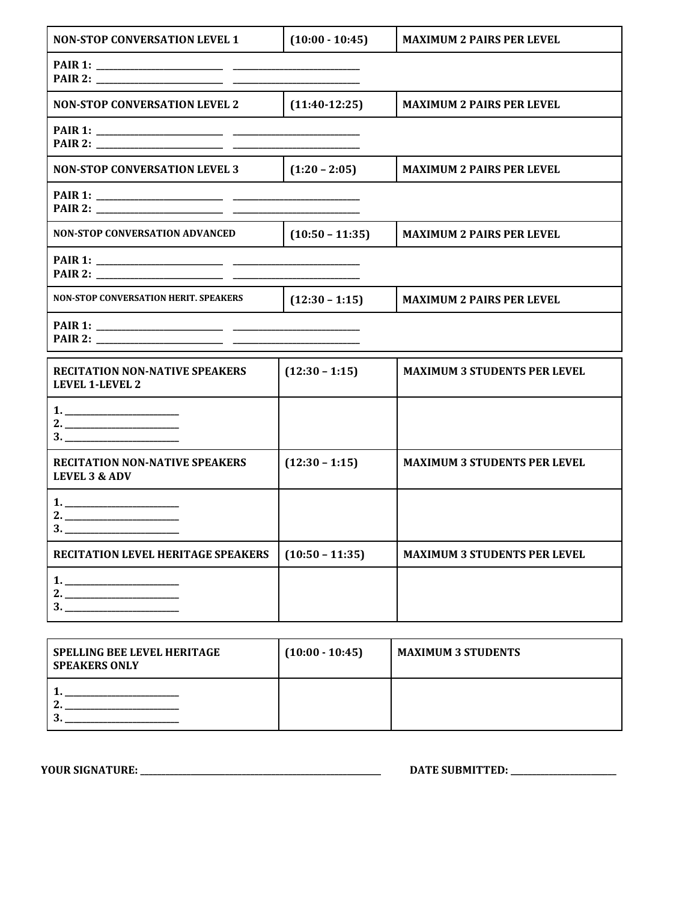| <b>NON-STOP CONVERSATION LEVEL 1</b>                              | $(10:00 - 10:45)$ | <b>MAXIMUM 2 PAIRS PER LEVEL</b>    |
|-------------------------------------------------------------------|-------------------|-------------------------------------|
|                                                                   |                   |                                     |
| <b>NON-STOP CONVERSATION LEVEL 2</b>                              | $(11:40-12:25)$   | <b>MAXIMUM 2 PAIRS PER LEVEL</b>    |
|                                                                   |                   |                                     |
| <b>NON-STOP CONVERSATION LEVEL 3</b>                              | $(1:20 - 2:05)$   | <b>MAXIMUM 2 PAIRS PER LEVEL</b>    |
|                                                                   |                   |                                     |
| <b>NON-STOP CONVERSATION ADVANCED</b>                             | $(10:50 - 11:35)$ | <b>MAXIMUM 2 PAIRS PER LEVEL</b>    |
|                                                                   |                   |                                     |
| <b>NON-STOP CONVERSATION HERIT. SPEAKERS</b>                      | $(12:30 - 1:15)$  | <b>MAXIMUM 2 PAIRS PER LEVEL</b>    |
|                                                                   |                   |                                     |
| <b>RECITATION NON-NATIVE SPEAKERS</b><br><b>LEVEL 1-LEVEL 2</b>   | $(12:30 - 1:15)$  | <b>MAXIMUM 3 STUDENTS PER LEVEL</b> |
|                                                                   |                   |                                     |
| <b>RECITATION NON-NATIVE SPEAKERS</b><br><b>LEVEL 3 &amp; ADV</b> | $(12:30 - 1:15)$  | <b>MAXIMUM 3 STUDENTS PER LEVEL</b> |
|                                                                   |                   |                                     |
| RECITATION LEVEL HERITAGE SPEAKERS                                | $(10:50 - 11:35)$ | <b>MAXIMUM 3 STUDENTS PER LEVEL</b> |
| 1.<br>2.<br>3.                                                    |                   |                                     |

| <b>SPELLING BEE LEVEL HERITAGE</b><br><b>SPEAKERS ONLY</b> | $(10:00 - 10:45)$ | <b>MAXIMUM 3 STUDENTS</b> |
|------------------------------------------------------------|-------------------|---------------------------|
|                                                            |                   |                           |

**YOUR SIGNATURE: \_\_\_\_\_\_\_\_\_\_\_\_\_\_\_\_\_\_\_\_\_\_\_\_\_\_\_\_\_\_\_\_\_\_\_\_\_\_\_\_\_\_\_\_\_\_\_\_\_\_\_\_\_\_\_\_\_ DATE SUBMITTED: \_\_\_\_\_\_\_\_\_\_\_\_\_\_\_\_\_\_\_\_\_\_\_\_\_**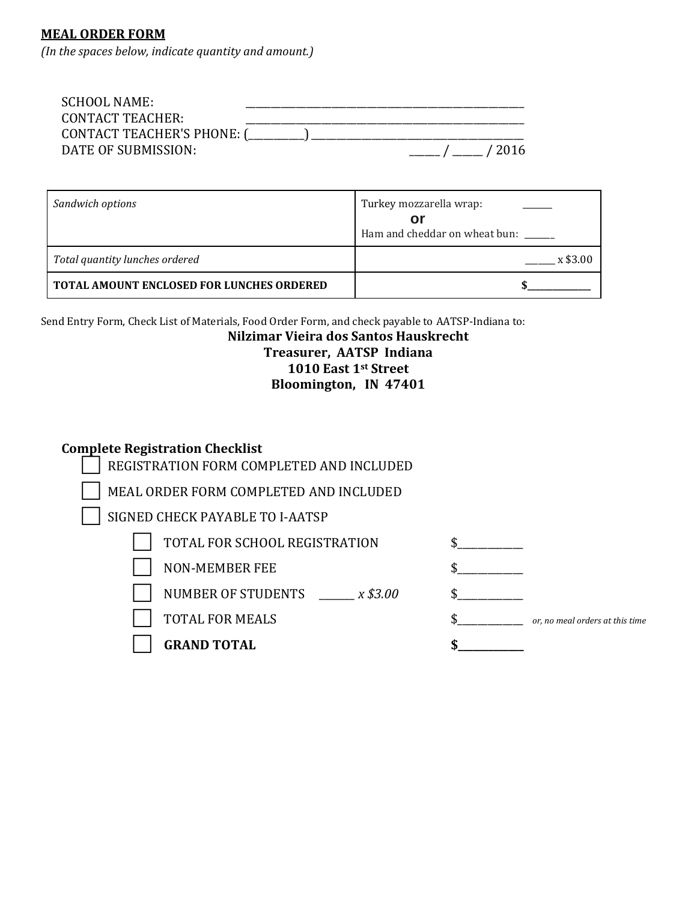# **MEAL ORDER FORM**

*(In the spaces below, indicate quantity and amount.)*

| SCHOOL NAME:                         |                                  |
|--------------------------------------|----------------------------------|
| CONTACT TEACHER:                     |                                  |
| CONTACT TEACHER'S PHONE: (__________ |                                  |
| DATE OF SUBMISSION:                  | $\frac{1}{2}$ / $\frac{1}{2016}$ |

| Sandwich options                                 | Turkey mozzarella wrap:<br>Οl |
|--------------------------------------------------|-------------------------------|
|                                                  | Ham and cheddar on wheat bun: |
| Total quantity lunches ordered                   | $x$ \$3.00                    |
| <b>TOTAL AMOUNT ENCLOSED FOR LUNCHES ORDERED</b> |                               |

Send Entry Form, Check List of Materials, Food Order Form, and check payable to AATSP-Indiana to:

# **Nilzimar Vieira dos Santos Hauskrecht Treasurer, AATSP Indiana 1010 East 1st Street Bloomington, IN 47401**

# **Complete Registration Checklist**

| REGISTRATION FORM COMPLETED AND INCLUDED |                                 |
|------------------------------------------|---------------------------------|
| MEAL ORDER FORM COMPLETED AND INCLUDED   |                                 |
| SIGNED CHECK PAYABLE TO I-AATSP          |                                 |
| TOTAL FOR SCHOOL REGISTRATION            |                                 |
| <b>NON-MEMBER FEE</b>                    |                                 |
| NUMBER OF STUDENTS x \$3.00              |                                 |
| <b>TOTAL FOR MEALS</b>                   | or, no meal orders at this time |
| <b>GRAND TOTAL</b>                       |                                 |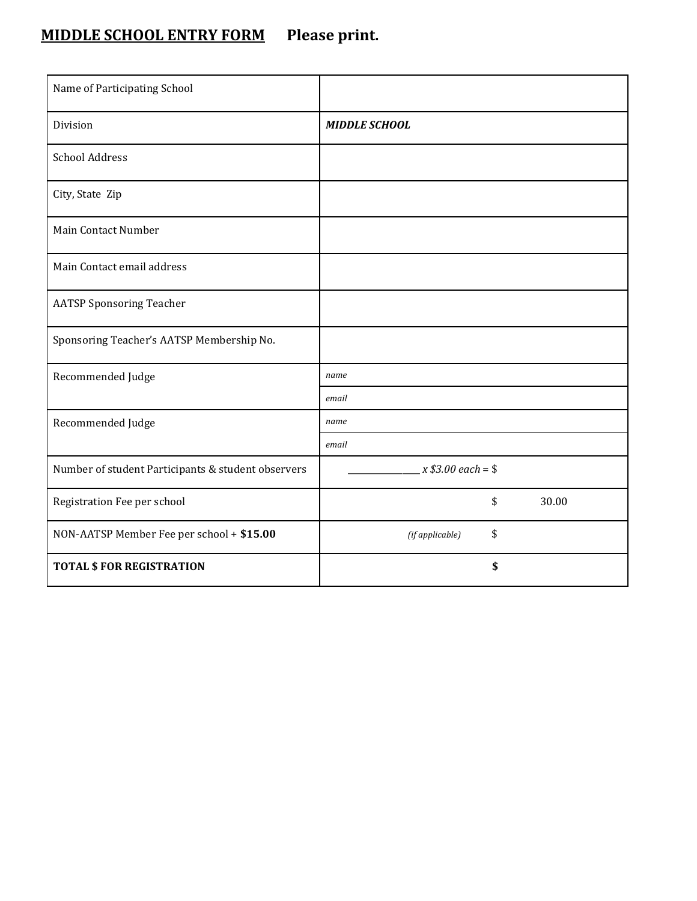# **MIDDLE SCHOOL ENTRY FORM Please print.**

| Name of Participating School                       |                       |
|----------------------------------------------------|-----------------------|
| Division                                           | <b>MIDDLE SCHOOL</b>  |
| <b>School Address</b>                              |                       |
| City, State Zip                                    |                       |
| Main Contact Number                                |                       |
| Main Contact email address                         |                       |
| <b>AATSP Sponsoring Teacher</b>                    |                       |
| Sponsoring Teacher's AATSP Membership No.          |                       |
| Recommended Judge                                  | name                  |
|                                                    | email                 |
| Recommended Judge                                  | name                  |
|                                                    | email                 |
| Number of student Participants & student observers | $x $3.00 each = $$    |
| Registration Fee per school                        | \$<br>30.00           |
| NON-AATSP Member Fee per school + \$15.00          | \$<br>(if applicable) |
| <b>TOTAL \$ FOR REGISTRATION</b>                   | \$                    |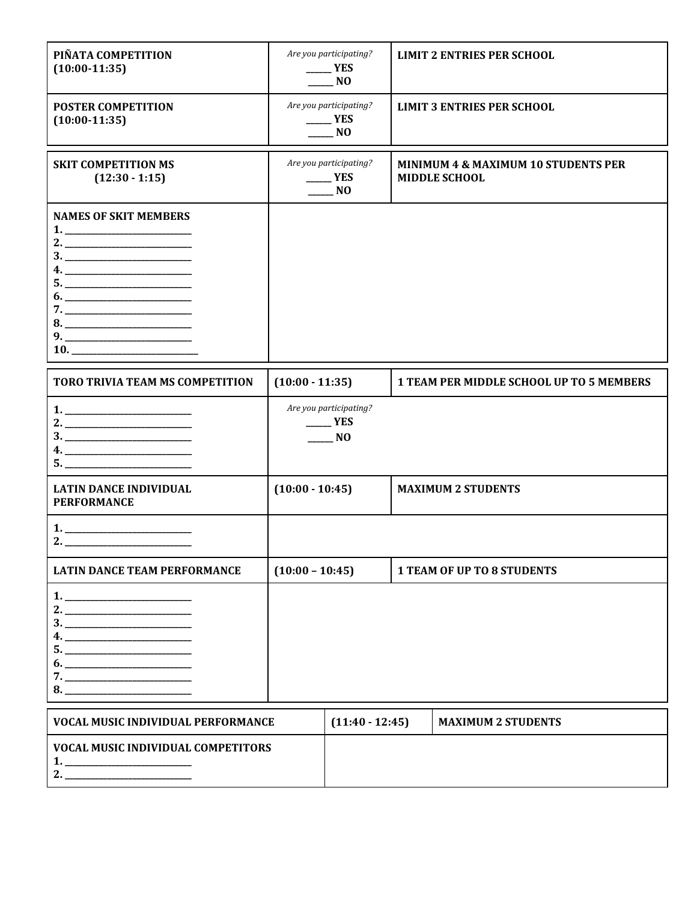| PIÑATA COMPETITION<br>$(10:00-11:35)$                           |                   | Are you participating?<br>YES<br>NO                          | <b>LIMIT 2 ENTRIES PER SCHOOL</b>                                      |
|-----------------------------------------------------------------|-------------------|--------------------------------------------------------------|------------------------------------------------------------------------|
| <b>POSTER COMPETITION</b><br>$(10:00-11:35)$                    |                   | Are you participating?<br>$\rule{1em}{0.15mm}$ YES<br>NO     | <b>LIMIT 3 ENTRIES PER SCHOOL</b>                                      |
| <b>SKIT COMPETITION MS</b><br>$(12:30 - 1:15)$                  |                   | Are you participating?<br><b>YES</b><br>N <sub>O</sub>       | <b>MINIMUM 4 &amp; MAXIMUM 10 STUDENTS PER</b><br><b>MIDDLE SCHOOL</b> |
| <b>NAMES OF SKIT MEMBERS</b><br>$9. \underline{\hspace{1.5cm}}$ |                   |                                                              |                                                                        |
| TORO TRIVIA TEAM MS COMPETITION                                 | $(10:00 - 11:35)$ |                                                              | <b>1 TEAM PER MIDDLE SCHOOL UP TO 5 MEMBERS</b>                        |
|                                                                 |                   | Are you participating?<br>YES<br>$\overline{\phantom{0}}$ NO |                                                                        |
| <b>LATIN DANCE INDIVIDUAL</b><br><b>PERFORMANCE</b>             | $(10:00 - 10:45)$ |                                                              | <b>MAXIMUM 2 STUDENTS</b>                                              |
|                                                                 |                   |                                                              |                                                                        |
| <b>LATIN DANCE TEAM PERFORMANCE</b>                             | $(10:00 - 10:45)$ |                                                              | <b>1 TEAM OF UP TO 8 STUDENTS</b>                                      |
|                                                                 |                   |                                                              |                                                                        |
| VOCAL MUSIC INDIVIDUAL PERFORMANCE                              |                   | $(11:40 - 12:45)$                                            | <b>MAXIMUM 2 STUDENTS</b>                                              |

| <b>VOCAL MUSIC INDIVIDUAL PERFORMANCE</b> | $(11:40-12:45)$ | MAXIMUM 2 STUDENTS |
|-------------------------------------------|-----------------|--------------------|
| <b>VOCAL MUSIC INDIVIDUAL COMPETITORS</b> |                 |                    |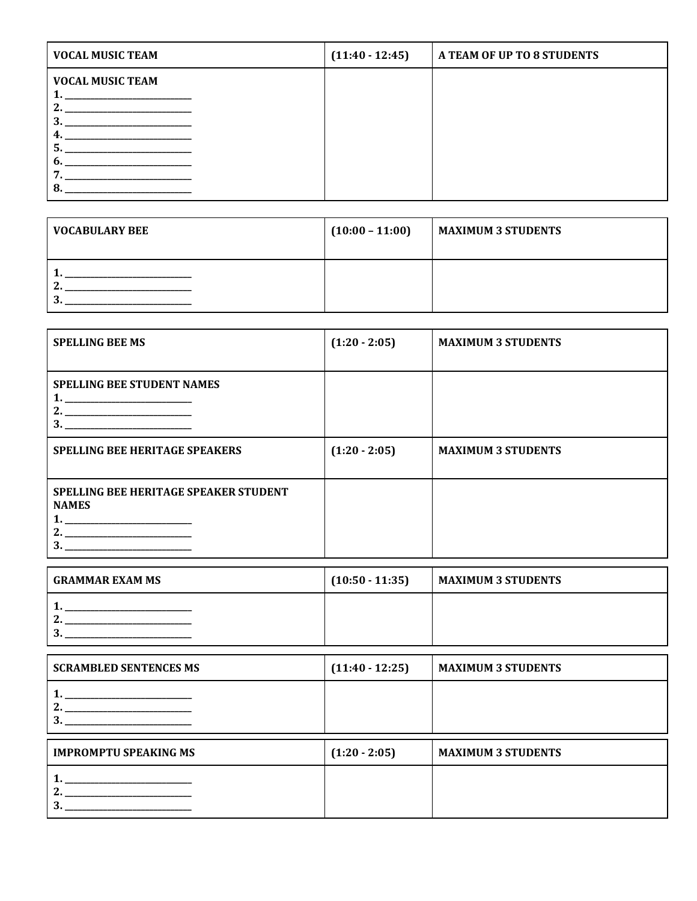| <b>VOCAL MUSIC TEAM</b>                                                                                                                                           | $(11:40 - 12:45)$ | A TEAM OF UP TO 8 STUDENTS |
|-------------------------------------------------------------------------------------------------------------------------------------------------------------------|-------------------|----------------------------|
| <b>VOCAL MUSIC TEAM</b><br><u> 1989 - Johann Harry Harry Harry Harry Harry Harry Harry Harry Harry Harry Harry Harry Harry Harry Harry Harry</u><br>י<br>4.<br>n. |                   |                            |

| VOCABULARY BEE | $(10:00 - 11:00)$ | <b>MAXIMUM 3 STUDENTS</b> |
|----------------|-------------------|---------------------------|
| ີ              |                   |                           |

| <b>SPELLING BEE MS</b>                                       | $(1:20 - 2:05)$ | <b>MAXIMUM 3 STUDENTS</b> |
|--------------------------------------------------------------|-----------------|---------------------------|
| <b>SPELLING BEE STUDENT NAMES</b>                            |                 |                           |
| <b>SPELLING BEE HERITAGE SPEAKERS</b>                        | $(1:20 - 2:05)$ | <b>MAXIMUM 3 STUDENTS</b> |
| <b>SPELLING BEE HERITAGE SPEAKER STUDENT</b><br><b>NAMES</b> |                 |                           |

| I GRAMMAR EXAM MS | $(10:50 - 11:35)$ | <b>MAXIMUM 3 STUDENTS</b> |
|-------------------|-------------------|---------------------------|
| n<br>n<br>. .     |                   |                           |

| <b>SCRAMBLED SENTENCES MS</b>                                                                                                                            | $(11:40-12:25)$ | <b>MAXIMUM 3 STUDENTS</b> |
|----------------------------------------------------------------------------------------------------------------------------------------------------------|-----------------|---------------------------|
| the control of the control of the control of the control of the control of<br>the control of the control of the control of the control of the control of |                 |                           |
|                                                                                                                                                          |                 |                           |
| <b>IMPROMPTU SPEAKING MS</b>                                                                                                                             | $(1:20 - 2:05)$ | <b>MAXIMUM 3 STUDENTS</b> |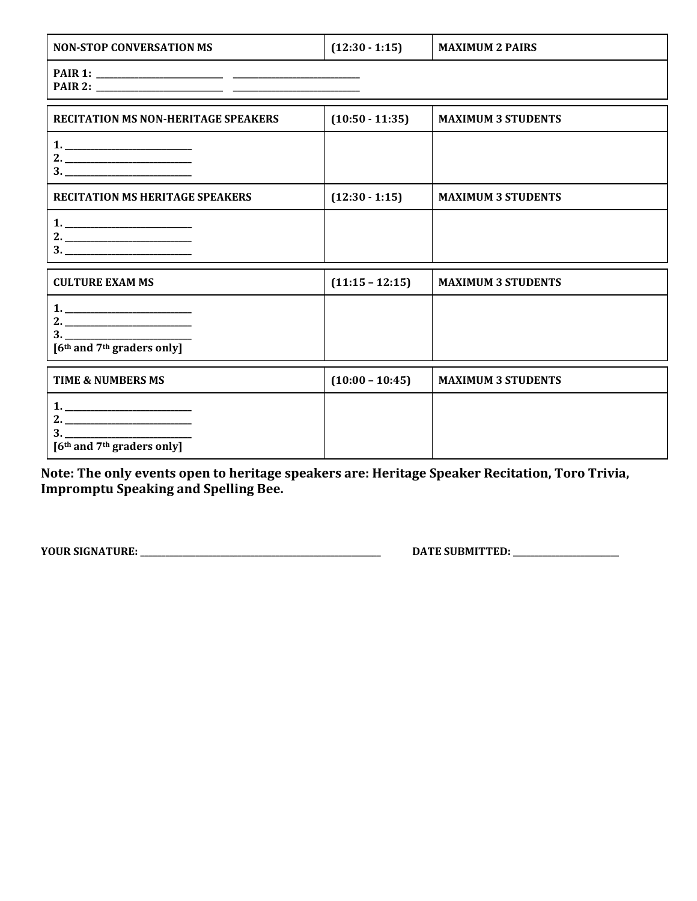| <b>NON-STOP CONVERSATION MS</b>                          | $(12:30 - 1:15)$  | <b>MAXIMUM 2 PAIRS</b>    |
|----------------------------------------------------------|-------------------|---------------------------|
|                                                          |                   |                           |
| <b>RECITATION MS NON-HERITAGE SPEAKERS</b>               | $(10:50 - 11:35)$ | <b>MAXIMUM 3 STUDENTS</b> |
|                                                          |                   |                           |
| <b>RECITATION MS HERITAGE SPEAKERS</b>                   | $(12:30 - 1:15)$  | <b>MAXIMUM 3 STUDENTS</b> |
|                                                          |                   |                           |
| <b>CULTURE EXAM MS</b>                                   | $(11:15 - 12:15)$ | <b>MAXIMUM 3 STUDENTS</b> |
| [6 <sup>th</sup> and 7 <sup>th</sup> graders only]       |                   |                           |
| <b>TIME &amp; NUMBERS MS</b>                             | $(10:00 - 10:45)$ | <b>MAXIMUM 3 STUDENTS</b> |
| 3.<br>[6 <sup>th</sup> and 7 <sup>th</sup> graders only] |                   |                           |

**Note: The only events open to heritage speakers are: Heritage Speaker Recitation, Toro Trivia, Impromptu Speaking and Spelling Bee.** 

**YOUR SIGNATURE: \_\_\_\_\_\_\_\_\_\_\_\_\_\_\_\_\_\_\_\_\_\_\_\_\_\_\_\_\_\_\_\_\_\_\_\_\_\_\_\_\_\_\_\_\_\_\_\_\_\_\_\_\_\_\_\_\_ DATE SUBMITTED: \_\_\_\_\_\_\_\_\_\_\_\_\_\_\_\_\_\_\_\_\_\_\_\_\_**